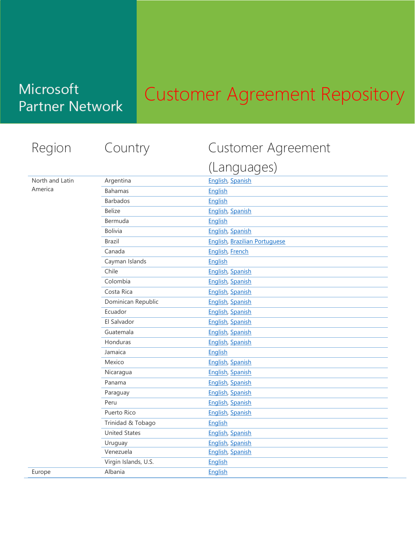## Customer Agreement Repository

#### Region Country Customer Agreement

#### North and Latin America

Europe

|                      | (Languages)                          |
|----------------------|--------------------------------------|
| Argentina            | <b>English, Spanish</b>              |
| <b>Bahamas</b>       | English                              |
| <b>Barbados</b>      | English                              |
| <b>Belize</b>        | English, Spanish                     |
| Bermuda              | English                              |
| <b>Bolivia</b>       | English, Spanish                     |
| <b>Brazil</b>        | <b>English, Brazilian Portuguese</b> |
| Canada               | <b>English, French</b>               |
| Cayman Islands       | English                              |
| Chile                | English, Spanish                     |
| Colombia             | <b>English, Spanish</b>              |
| Costa Rica           | <b>English, Spanish</b>              |
| Dominican Republic   | English, Spanish                     |
| Ecuador              | <b>English, Spanish</b>              |
| El Salvador          | <b>English, Spanish</b>              |
| Guatemala            | <b>English, Spanish</b>              |
| Honduras             | <b>English, Spanish</b>              |
| Jamaica              | <b>English</b>                       |
| Mexico               | <b>English, Spanish</b>              |
| Nicaragua            | English, Spanish                     |
| Panama               | <b>English, Spanish</b>              |
| Paraguay             | <b>English, Spanish</b>              |
| Peru                 | <b>English, Spanish</b>              |
| Puerto Rico          | <b>English, Spanish</b>              |
| Trinidad & Tobago    | English                              |
| <b>United States</b> | English, Spanish                     |
| Uruguay              | <b>English, Spanish</b>              |
| Venezuela            | English, Spanish                     |
| Virgin Islands, U.S. | English                              |
| Albania              | <b>English</b>                       |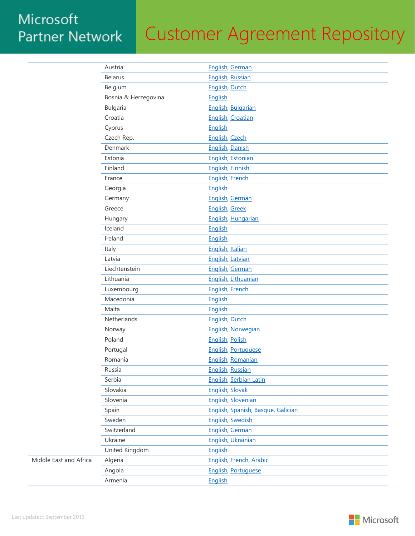# Customer Agreement Repository

|                        | Austria              | English, German                    |
|------------------------|----------------------|------------------------------------|
|                        | <b>Belarus</b>       | English, Russian                   |
|                        | Belgium              | English, Dutch                     |
|                        | Bosnia & Herzegovina | English                            |
|                        | <b>Bulgaria</b>      | English, Bulgarian                 |
|                        | Croatia              | English, Croatian                  |
|                        | Cyprus               | English                            |
|                        | Czech Rep.           | English, Czech                     |
|                        | Denmark              | English, Danish                    |
|                        | Estonia              | English, Estonian                  |
|                        | Finland              | English, Finnish                   |
|                        | France               | English, French                    |
|                        | Georgia              | English                            |
|                        | Germany              | English, German                    |
|                        | Greece               | <b>English, Greek</b>              |
|                        | Hungary              | English, Hungarian                 |
|                        | Iceland              | English                            |
|                        | Ireland              | English                            |
|                        | Italy                | English, Italian                   |
|                        | Latvia               | English, Latvian                   |
|                        | Liechtenstein        | English, German                    |
|                        | Lithuania            | English, Lithuanian                |
|                        | Luxembourg           | English, French                    |
|                        | Macedonia            | English                            |
|                        | Malta                | <b>English</b>                     |
|                        | Netherlands          | <b>English, Dutch</b>              |
|                        | Norway               | English, Norwegian                 |
|                        | Poland               | English, Polish                    |
|                        | Portugal             | <b>English, Portuguese</b>         |
|                        | Romania              | English, Romanian                  |
|                        | Russia               | English, Russian                   |
|                        | Serbia               | English, Serbian Latin             |
|                        | Slovakia             | English, Slovak                    |
|                        | Slovenia             | English, Slovenian                 |
|                        | Spain                | English, Spanish, Basque, Galician |
|                        | Sweden               | <b>English, Swedish</b>            |
|                        | Switzerland          | English, German                    |
|                        | Ukraine              | English, Ukrainian                 |
|                        | United Kingdom       | English                            |
| Middle East and Africa | Algeria              | English, French, Arabic            |
|                        | Angola               | <b>English, Portuguese</b>         |
|                        | Armenia              | English                            |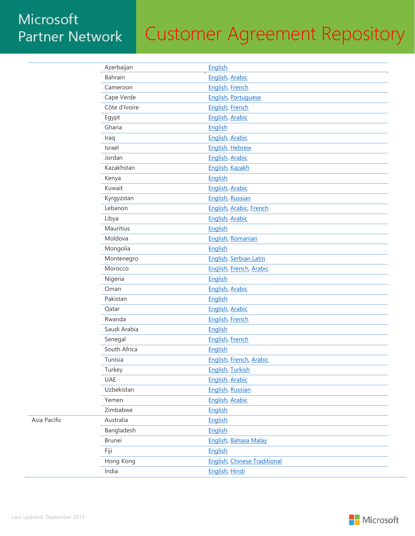# Customer Agreement Repository

|  | Azerbaijan     | English                             |
|--|----------------|-------------------------------------|
|  | <b>Bahrain</b> | English, Arabic                     |
|  | Cameroon       | <b>English, French</b>              |
|  | Cape Verde     | <b>English, Portuguese</b>          |
|  | Côte d'Ivoire  | <b>English, French</b>              |
|  | Egypt          | English, Arabic                     |
|  | Ghana          | English                             |
|  | Iraq           | English, Arabic                     |
|  | Israel         | <b>English, Hebrew</b>              |
|  | Jordan         | English, Arabic                     |
|  | Kazakhstan     | English, Kazakh                     |
|  | Kenya          | English                             |
|  | Kuwait         | English, Arabic                     |
|  | Kyrgyzstan     | English, Russian                    |
|  | Lebanon        | English, Arabic, French             |
|  | Libya          | English, Arabic                     |
|  | Mauritius      | English                             |
|  | Moldova        | English, Romanian                   |
|  | Mongolia       | English                             |
|  | Montenegro     | English, Serbian Latin              |
|  | Morocco        | English, French, Arabic             |
|  | Nigeria        | English                             |
|  | Oman           | English, Arabic                     |
|  | Pakistan       | English                             |
|  | Qatar          | English, Arabic                     |
|  | Rwanda         | <b>English, French</b>              |
|  | Saudi Arabia   | English                             |
|  | Senegal        | English, French                     |
|  | South Africa   | English                             |
|  | Tunisia        | English, French, Arabic             |
|  | Turkey         | <b>English, Turkish</b>             |
|  | <b>UAE</b>     | <b>English, Arabic</b>              |
|  | Uzbekistan     | English, Russian                    |
|  | Yemen          | English, Arabic                     |
|  | Zimbabwe       | English                             |
|  | Australia      | English                             |
|  | Bangladesh     | English                             |
|  | <b>Brunei</b>  | <b>English, Bahasa Malay</b>        |
|  | Fiji           | English                             |
|  | Hong Kong      | <b>English, Chinese Traditional</b> |
|  | India          | English, Hindi                      |

Asia Pacific